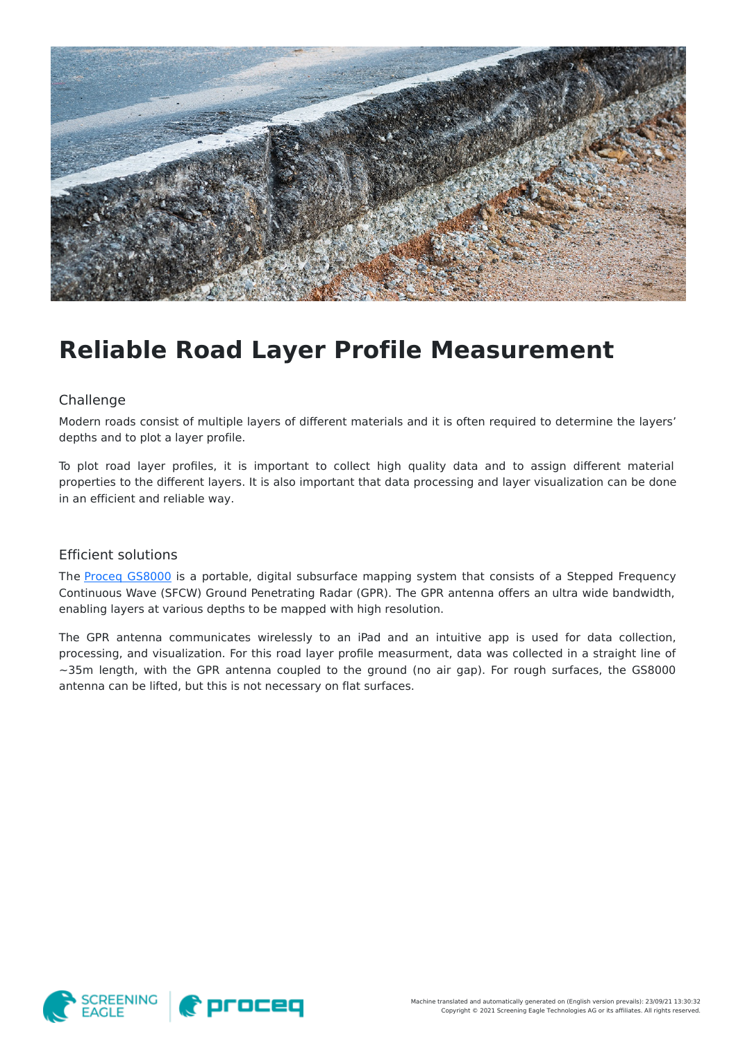

## **Reliable Road Layer Profile Measurement**

## Challenge

Modern roads consist of multiple layers of different materials and it is often required to determine the layers' depths and to plot a layer profile.

To plot road layer profiles, it is important to collect high quality data and to assign different material properties to the different layers. It is also important that data processing and layer visualization can be done in an efficient and reliable way.

## Efficient solutions

The Proceq [GS8000](https://www.screeningeagle.com/en/products/260) is a portable, digital subsurface mapping system that consists of a Stepped Frequency Continuous Wave (SFCW) Ground Penetrating Radar (GPR). The GPR antenna offers an ultra wide bandwidth, enabling layers at various depths to be mapped with high resolution.

The GPR antenna communicates wirelessly to an iPad and an intuitive app is used for data collection, processing, and visualization. For this road layer profile measurment, data was collected in a straight line of  $\sim$ 35m length, with the GPR antenna coupled to the ground (no air gap). For rough surfaces, the GS8000 antenna can be lifted, but this is not necessary on flat surfaces.

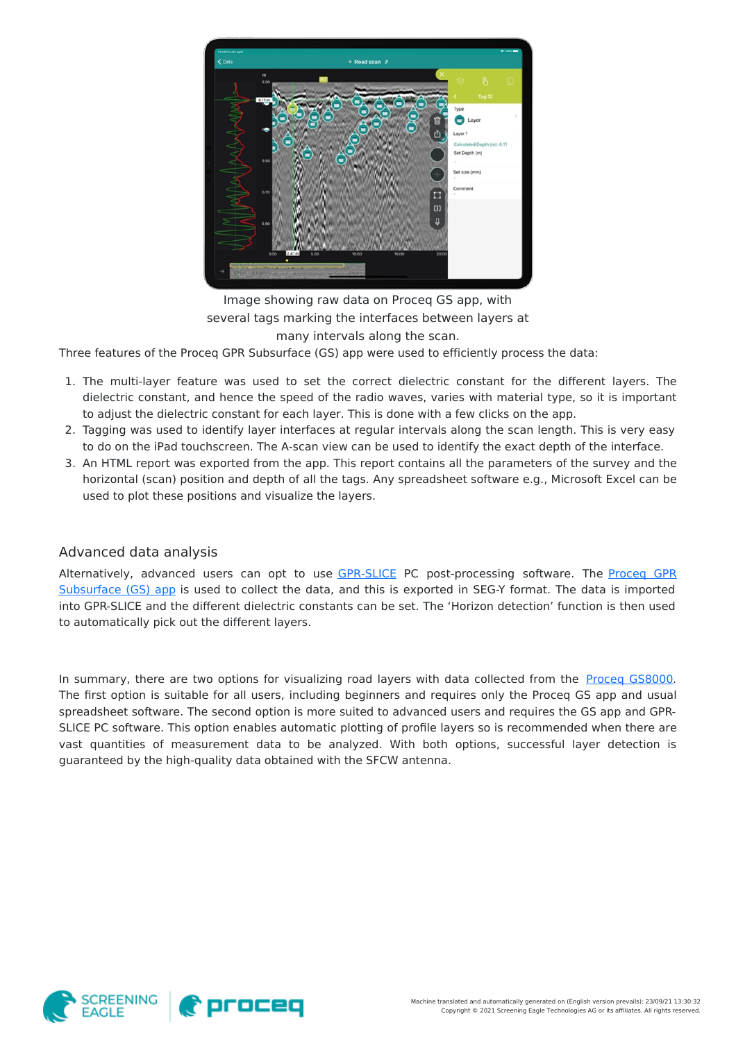

Image showing raw data on Proceq GS app, with several tags marking the interfaces between layers at many intervals along the scan.

Three features of the Proceq GPR Subsurface (GS) app were used to efficiently process the data:

- 1. The multi-layer feature was used to set the correct dielectric constant for the different layers. The dielectric constant, and hence the speed of the radio waves, varies with material type, so it is important to adjust the dielectric constant for each layer. This is done with a few clicks on the app.
- 2. Tagging was used to identify layer interfaces at regular intervals along the scan length. This is very easy to do on the iPad touchscreen. The A-scan view can be used to identify the exact depth of the interface.
- 3. An HTML report was exported from the app. This report contains all the parameters of the survey and the horizontal (scan) position and depth of all the tags. Any spreadsheet software e.g., Microsoft Excel can be used to plot these positions and visualize the layers.

## Advanced data analysis

Alternatively, advanced users can opt to use [GPR-SLICE](https://www.screeningeagle.com/en/products/category/software/gpr-slice) PC [post-processing](https://apps.apple.com/us/app/proceq-gpr-subsurface/id1524783895) software. The Proceg GPR Subsurface (GS) app is used to collect the data, and this is exported in SEG-Y format. The data is imported into GPR-SLICE and the different dielectric constants can be set. The 'Horizon detection' function is then used to automatically pick out the different layers.

In summary, there are two options for visualizing road layers with data collected from the Proceq [GS8000](https://www.screeningeagle.com/en/products/260). The first option is suitable for all users, including beginners and requires only the Proceq GS app and usual spreadsheet software. The second option is more suited to advanced users and requires the GS app and GPR-SLICE PC software. This option enables automatic plotting of profile layers so is recommended when there are vast quantities of measurement data to be analyzed. With both options, successful layer detection is guaranteed by the high-quality data obtained with the SFCW antenna.